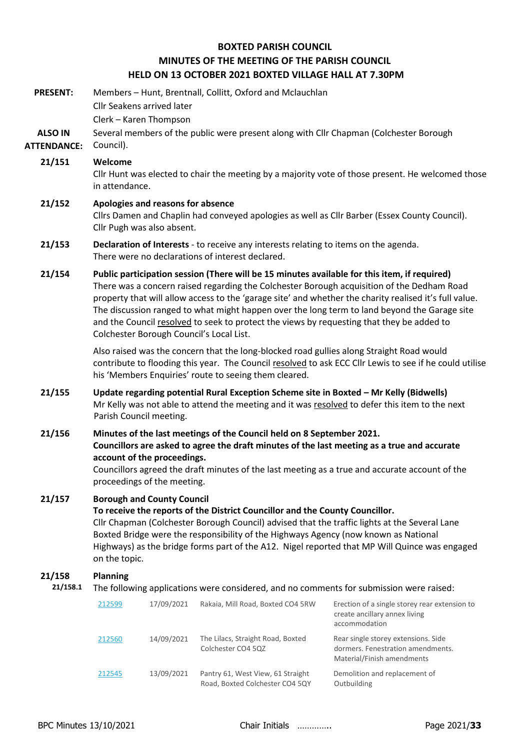# **BOXTED PARISH COUNCIL MINUTES OF THE MEETING OF THE PARISH COUNCIL HELD ON 13 OCTOBER 2021 BOXTED VILLAGE HALL AT 7.30PM**

| <b>PRESENT:</b><br><b>ALSO IN</b> |                                                                                                                                                                                                                                                                                                                                                                                                                             | <b>Cllr Seakens arrived later</b><br>Clerk - Karen Thompson | Members - Hunt, Brentnall, Collitt, Oxford and Mclauchlan |  | Several members of the public were present along with Cllr Chapman (Colchester Borough                                                                                                                                                                                                                                                                                                                                                                                                            |
|-----------------------------------|-----------------------------------------------------------------------------------------------------------------------------------------------------------------------------------------------------------------------------------------------------------------------------------------------------------------------------------------------------------------------------------------------------------------------------|-------------------------------------------------------------|-----------------------------------------------------------|--|---------------------------------------------------------------------------------------------------------------------------------------------------------------------------------------------------------------------------------------------------------------------------------------------------------------------------------------------------------------------------------------------------------------------------------------------------------------------------------------------------|
| <b>ATTENDANCE:</b>                | Council).                                                                                                                                                                                                                                                                                                                                                                                                                   |                                                             |                                                           |  |                                                                                                                                                                                                                                                                                                                                                                                                                                                                                                   |
| 21/151                            | Welcome<br>Cllr Hunt was elected to chair the meeting by a majority vote of those present. He welcomed those<br>in attendance.                                                                                                                                                                                                                                                                                              |                                                             |                                                           |  |                                                                                                                                                                                                                                                                                                                                                                                                                                                                                                   |
| 21/152                            | Apologies and reasons for absence<br>Cllrs Damen and Chaplin had conveyed apologies as well as Cllr Barber (Essex County Council).<br>Cllr Pugh was also absent.                                                                                                                                                                                                                                                            |                                                             |                                                           |  |                                                                                                                                                                                                                                                                                                                                                                                                                                                                                                   |
| 21/153                            | Declaration of Interests - to receive any interests relating to items on the agenda.<br>There were no declarations of interest declared.                                                                                                                                                                                                                                                                                    |                                                             |                                                           |  |                                                                                                                                                                                                                                                                                                                                                                                                                                                                                                   |
| 21/154                            |                                                                                                                                                                                                                                                                                                                                                                                                                             | Colchester Borough Council's Local List.                    |                                                           |  | Public participation session (There will be 15 minutes available for this item, if required)<br>There was a concern raised regarding the Colchester Borough acquisition of the Dedham Road<br>property that will allow access to the 'garage site' and whether the charity realised it's full value.<br>The discussion ranged to what might happen over the long term to land beyond the Garage site<br>and the Council resolved to seek to protect the views by requesting that they be added to |
|                                   |                                                                                                                                                                                                                                                                                                                                                                                                                             |                                                             | his 'Members Enquiries' route to seeing them cleared.     |  | Also raised was the concern that the long-blocked road gullies along Straight Road would<br>contribute to flooding this year. The Council resolved to ask ECC Cllr Lewis to see if he could utilise                                                                                                                                                                                                                                                                                               |
| 21/155                            | Update regarding potential Rural Exception Scheme site in Boxted - Mr Kelly (Bidwells)<br>Mr Kelly was not able to attend the meeting and it was resolved to defer this item to the next<br>Parish Council meeting.                                                                                                                                                                                                         |                                                             |                                                           |  |                                                                                                                                                                                                                                                                                                                                                                                                                                                                                                   |
| 21/156                            | Minutes of the last meetings of the Council held on 8 September 2021.<br>Councillors are asked to agree the draft minutes of the last meeting as a true and accurate<br>account of the proceedings.<br>Councillors agreed the draft minutes of the last meeting as a true and accurate account of the<br>proceedings of the meeting.                                                                                        |                                                             |                                                           |  |                                                                                                                                                                                                                                                                                                                                                                                                                                                                                                   |
| 21/157                            | <b>Borough and County Council</b><br>To receive the reports of the District Councillor and the County Councillor.<br>Cllr Chapman (Colchester Borough Council) advised that the traffic lights at the Several Lane<br>Boxted Bridge were the responsibility of the Highways Agency (now known as National<br>Highways) as the bridge forms part of the A12. Nigel reported that MP Will Quince was engaged<br>on the topic. |                                                             |                                                           |  |                                                                                                                                                                                                                                                                                                                                                                                                                                                                                                   |
| 21/158<br>21/158.1                | <b>Planning</b>                                                                                                                                                                                                                                                                                                                                                                                                             |                                                             |                                                           |  | The following applications were considered, and no comments for submission were raised:                                                                                                                                                                                                                                                                                                                                                                                                           |
|                                   | 212599                                                                                                                                                                                                                                                                                                                                                                                                                      | 17/09/2021                                                  | Rakaia, Mill Road, Boxted CO4 5RW                         |  | Erection of a single storey rear extension to<br>create ancillary annex living<br>accommodation                                                                                                                                                                                                                                                                                                                                                                                                   |
|                                   | 212560                                                                                                                                                                                                                                                                                                                                                                                                                      | 14/09/2021                                                  | The Lilacs, Straight Road, Boxted<br>Colchester CO4 5QZ   |  | Rear single storey extensions. Side<br>dormers. Fenestration amendments.<br>Material/Finish amendments                                                                                                                                                                                                                                                                                                                                                                                            |
|                                   | 212545                                                                                                                                                                                                                                                                                                                                                                                                                      | 13/09/2021                                                  | Pantry 61, West View, 61 Straight                         |  | Demolition and replacement of                                                                                                                                                                                                                                                                                                                                                                                                                                                                     |

Road, Boxted Colchester CO4 5QY Outbuilding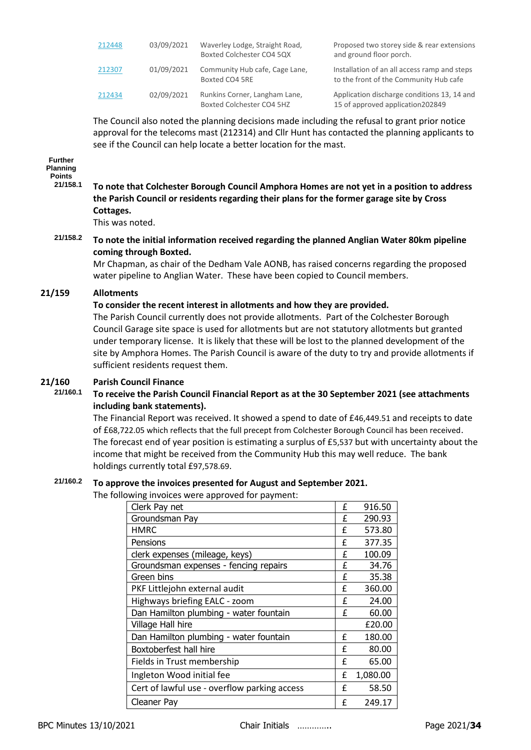| 212448 | 03/09/2021 | Waverley Lodge, Straight Road,<br>Boxted Colchester CO4 5QX | Proposed two storey side & rear extensions<br>and ground floor porch.                  |
|--------|------------|-------------------------------------------------------------|----------------------------------------------------------------------------------------|
| 212307 | 01/09/2021 | Community Hub cafe, Cage Lane,<br>Boxted CO4 5RE            | Installation of an all access ramp and steps<br>to the front of the Community Hub cafe |
| 212434 | 02/09/2021 | Runkins Corner, Langham Lane,<br>Boxted Colchester CO4 5HZ  | Application discharge conditions 13, 14 and<br>15 of approved application202849        |

The Council also noted the planning decisions made including the refusal to grant prior notice approval for the telecoms mast (212314) and Cllr Hunt has contacted the planning applicants to see if the Council can help locate a better location for the mast.

### **Further Planning**

**Points**

**21/158.1 To note that Colchester Borough Council Amphora Homes are not yet in a position to address the Parish Council or residents regarding their plans for the former garage site by Cross Cottages.**

This was noted.

**21/158.2 To note the initial information received regarding the planned Anglian Water 80km pipeline coming through Boxted.**

Mr Chapman, as chair of the Dedham Vale AONB, has raised concerns regarding the proposed water pipeline to Anglian Water. These have been copied to Council members.

# **21/159 Allotments**

# **To consider the recent interest in allotments and how they are provided.**

The Parish Council currently does not provide allotments. Part of the Colchester Borough Council Garage site space is used for allotments but are not statutory allotments but granted under temporary license. It is likely that these will be lost to the planned development of the site by Amphora Homes. The Parish Council is aware of the duty to try and provide allotments if sufficient residents request them.

# **21/160 Parish Council Finance**

# **21/160.1 To receive the Parish Council Financial Report as at the 30 September 2021 (see attachments including bank statements).**

The Financial Report was received. It showed a spend to date of £46,449.51 and receipts to date of £68,722.05 which reflects that the full precept from Colchester Borough Council has been received. The forecast end of year position is estimating a surplus of £5,537 but with uncertainty about the income that might be received from the Community Hub this may well reduce. The bank holdings currently total £97,578.69.

# **21/160.2 To approve the invoices presented for August and September 2021.**

The following invoices were approved for payment:

| Clerk Pay net                                | £ | 916.50   |
|----------------------------------------------|---|----------|
| Groundsman Pay                               | £ | 290.93   |
| <b>HMRC</b>                                  | £ | 573.80   |
| Pensions                                     | £ | 377.35   |
| clerk expenses (mileage, keys)               | £ | 100.09   |
| Groundsman expenses - fencing repairs        | £ | 34.76    |
| Green bins                                   | £ | 35.38    |
| PKF Littlejohn external audit                | £ | 360.00   |
| Highways briefing EALC - zoom                | £ | 24.00    |
| Dan Hamilton plumbing - water fountain       | £ | 60.00    |
| Village Hall hire                            |   | £20.00   |
| Dan Hamilton plumbing - water fountain       | £ | 180.00   |
| Boxtoberfest hall hire                       | f | 80.00    |
| Fields in Trust membership                   | f | 65.00    |
| Ingleton Wood initial fee                    | £ | 1,080.00 |
| Cert of lawful use - overflow parking access | f | 58.50    |
| Cleaner Pay                                  | f | 249.17   |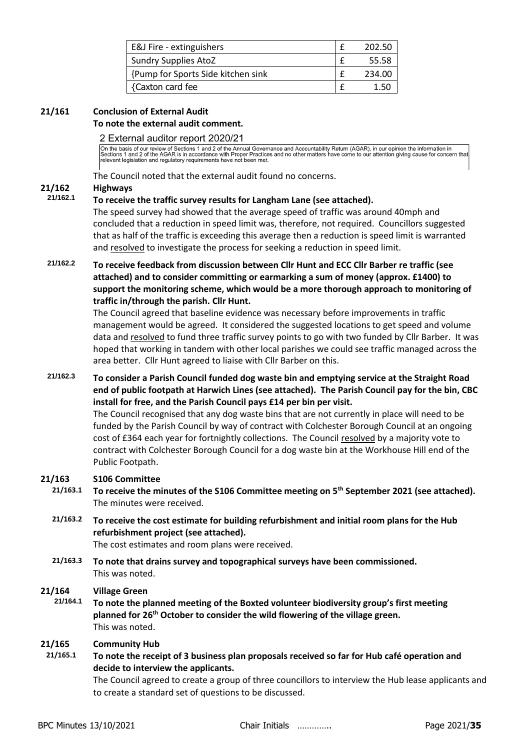| E&J Fire - extinguishers           | 202.50 |
|------------------------------------|--------|
| <b>Sundry Supplies AtoZ</b>        | 55.58  |
| {Pump for Sports Side kitchen sink | 234.00 |
| {Caxton card fee                   | 1.50   |

#### **21/161 Conclusion of External Audit To note the external audit comment.**

# 2 External auditor report 2020/21

On the basis of our review of Sections 1 and 2 of the Annual Governance and Accountability Return (AGAR), in our opinion the information in<br>Sections 1 and 2 of the AGAR is in accordance with Proper Practices and no other m

The Council noted that the external audit found no concerns.

# **21/162 Highways**

# **21/162.1 To receive the traffic survey results for Langham Lane (see attached).**

The speed survey had showed that the average speed of traffic was around 40mph and concluded that a reduction in speed limit was, therefore, not required. Councillors suggested that as half of the traffic is exceeding this average then a reduction is speed limit is warranted and resolved to investigate the process for seeking a reduction in speed limit.

**21/162.2 To receive feedback from discussion between Cllr Hunt and ECC Cllr Barber re traffic (see attached) and to consider committing or earmarking a sum of money (approx. £1400) to support the monitoring scheme, which would be a more thorough approach to monitoring of traffic in/through the parish. Cllr Hunt.**

The Council agreed that baseline evidence was necessary before improvements in traffic management would be agreed. It considered the suggested locations to get speed and volume data and resolved to fund three traffic survey points to go with two funded by Cllr Barber. It was hoped that working in tandem with other local parishes we could see traffic managed across the area better. Cllr Hunt agreed to liaise with Cllr Barber on this.

**21/162.3 To consider a Parish Council funded dog waste bin and emptying service at the Straight Road end of public footpath at Harwich Lines (see attached). The Parish Council pay for the bin, CBC install for free, and the Parish Council pays £14 per bin per visit.**

The Council recognised that any dog waste bins that are not currently in place will need to be funded by the Parish Council by way of contract with Colchester Borough Council at an ongoing cost of £364 each year for fortnightly collections. The Council resolved by a majority vote to contract with Colchester Borough Council for a dog waste bin at the Workhouse Hill end of the Public Footpath.

# **21/163 S106 Committee**

- **21/163.1 To receive the minutes of the S106 Committee meeting on 5th September 2021 (see attached).** The minutes were received.
	- **21/163.2 To receive the cost estimate for building refurbishment and initial room plans for the Hub refurbishment project (see attached).**

The cost estimates and room plans were received.

**21/163.3 To note that drains survey and topographical surveys have been commissioned.**  This was noted.

# **21/164 Village Green**

**21/164.1 To note the planned meeting of the Boxted volunteer biodiversity group's first meeting planned for 26th October to consider the wild flowering of the village green.**  This was noted.

# **21/165 Community Hub**

**21/165.1 To note the receipt of 3 business plan proposals received so far for Hub café operation and decide to interview the applicants.** 

The Council agreed to create a group of three councillors to interview the Hub lease applicants and to create a standard set of questions to be discussed.